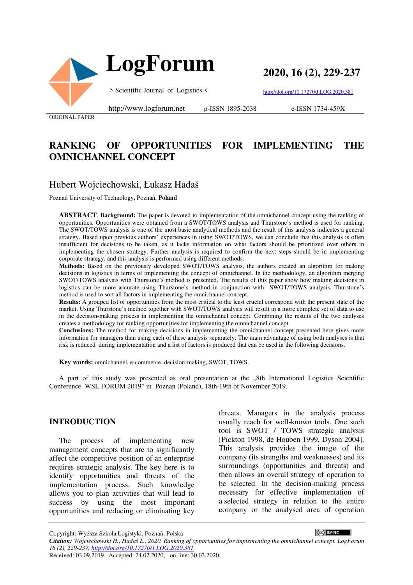



**2020, 16 (2), 229-237**

> Scientific Journal of Logistics <

http://doi.org/10.17270/J.LOG.2020.381

ORIGINAL PAPER

http://www.logforum.net p-ISSN 1895-2038

e-ISSN 1734-459X

# **RANKING OF OPPORTUNITIES FOR IMPLEMENTING THE OMNICHANNEL CONCEPT**

## Hubert Wojciechowski, Łukasz Hadaś

Poznań University of Technology, Poznań, **Poland**

**ABSTRACT**. **Background:** The paper is devoted to implementation of the omnichannel concept using the ranking of opportunities. Opportunities were obtained from a SWOT/TOWS analysis and Thurstone's method is used for ranking. The SWOT/TOWS analysis is one of the most basic analytical methods and the result of this analysis indicates a general strategy. Based upon previous authors' experiences in using SWOT/TOWS, we can conclude that this analysis is often insufficient for decisions to be taken, as it lacks information on what factors should be prioritized over others in implementing the chosen strategy. Further analysis is required to confirm the next steps should be in implementing corporate strategy, and this analysis is performed using different methods.

**Methods:** Based on the previously developed SWOT/TOWS analysis, the authors created an algorithm for making decisions in logistics in terms of implementing the concept of omnichannel. In the methodology, an algorithm merging SWOT/TOWS analysis with Thurstone's method is presented. The results of this paper show how making decisions in logistics can be more accurate using Thurstone's method in conjunction with SWOT/TOWS analysis. Thurstone's method is used to sort all factors in implementing the omnichannel concept.

**Results:** A grouped list of opportunities from the most critical to the least crucial correspond with the present state of the market. Using Thurstone's method together with SWOT/TOWS analysis will result in a more complete set of data to use in the decision-making process in implementing the omnichannel concept. Combining the results of the two analyses creates a methodology for ranking opportunities for implementing the omnichannel concept.

**Conclusions:** The method for making decisions in implementing the omnichannel concept presented here gives more information for managers than using each of these analysis separately. The main advantage of using both analyses is that risk is reduced during implementation and a list of factors is produced that can be used in the following decisions.

**Key words:** omnichannel, e-commerce, decision-making, SWOT, TOWS.

A part of this study was presented as oral presentation at the "8th International Logistics Scientific Conference WSL FORUM 2019" in Poznan (Poland), 18th-19th of November 2019.

#### **INTRODUCTION**

The process of implementing new management concepts that are to significantly affect the competitive position of an enterprise requires strategic analysis. The key here is to identify opportunities and threats of the implementation process. Such knowledge allows you to plan activities that will lead to success by using the most important opportunities and reducing or eliminating key

threats. Managers in the analysis process usually reach for well-known tools. One such tool is SWOT / TOWS strategic analysis [Pickton 1998, de Houben 1999, Dyson 2004]. This analysis provides the image of the company (its strengths and weaknesses) and its surroundings (opportunities and threats) and then allows an overall strategy of operation to be selected. In the decision-making process necessary for effective implementation of a selected strategy in relation to the entire company or the analysed area of operation

CC BY-NC *Citation: Wojciechowski H., Hadaś Ł., 2020. Ranking of opportunities for implementing the omnichannel concept. LogForum 16 (2), 229-237, http://doi.org/10.17270/J.LOG.2020.381*  Received: 03.09.2019, Accepted: 24.02.2020, on-line: 30.03.2020.

Copyright: Wyższa Szkoła Logistyki, Poznań, Polska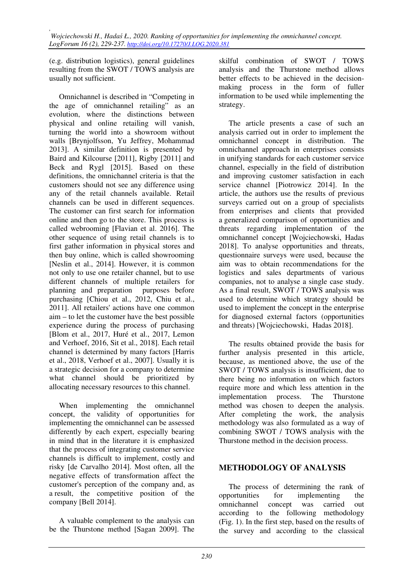(e.g. distribution logistics), general guidelines resulting from the SWOT / TOWS analysis are usually not sufficient.

Omnichannel is described in "Competing in the age of omnichannel retailing" as an evolution, where the distinctions between physical and online retailing will vanish, turning the world into a showroom without walls [Brynjolfsson, Yu Jeffrey, Mohammad 2013]. A similar definition is presented by Baird and Kilcourse [2011], Rigby [2011] and Beck and Rygl [2015]. Based on these definitions, the omnichannel criteria is that the customers should not see any difference using any of the retail channels available. Retail channels can be used in different sequences. The customer can first search for information online and then go to the store. This process is called webrooming [Flavian et al. 2016]. The other sequence of using retail channels is to first gather information in physical stores and then buy online, which is called showrooming [Neslin et al., 2014]. However, it is common not only to use one retailer channel, but to use different channels of multiple retailers for planning and preparation purposes before purchasing [Chiou et al., 2012, Chiu et al., 2011]. All retailers' actions have one common aim – to let the customer have the best possible experience during the process of purchasing [Blom et al., 2017, Huré et al., 2017, Lemon and Verhoef, 2016, Sit et al., 2018]. Each retail channel is determined by many factors [Harris et al., 2018, Verhoef et al., 2007]. Usually it is a strategic decision for a company to determine what channel should be prioritized by allocating necessary resources to this channel.

When implementing the omnichannel concept, the validity of opportunities for implementing the omnichannel can be assessed differently by each expert, especially bearing in mind that in the literature it is emphasized that the process of integrating customer service channels is difficult to implement, costly and risky [de Carvalho 2014]. Most often, all the negative effects of transformation affect the customer's perception of the company and, as a result, the competitive position of the company [Bell 2014].

A valuable complement to the analysis can be the Thurstone method [Sagan 2009]. The skilful combination of SWOT / TOWS analysis and the Thurstone method allows better effects to be achieved in the decisionmaking process in the form of fuller information to be used while implementing the strategy.

The article presents a case of such an analysis carried out in order to implement the omnichannel concept in distribution. The omnichannel approach in enterprises consists in unifying standards for each customer service channel, especially in the field of distribution and improving customer satisfaction in each service channel [Piotrowicz 2014]. In the article, the authors use the results of previous surveys carried out on a group of specialists from enterprises and clients that provided a generalized comparison of opportunities and threats regarding implementation of the omnichannel concept [Wojciechowski, Hadas 2018]. To analyse opportunities and threats, questionnaire surveys were used, because the aim was to obtain recommendations for the logistics and sales departments of various companies, not to analyse a single case study. As a final result, SWOT / TOWS analysis was used to determine which strategy should be used to implement the concept in the enterprise for diagnosed external factors (opportunities and threats) [Wojciechowski, Hadas 2018].

The results obtained provide the basis for further analysis presented in this article, because, as mentioned above, the use of the SWOT / TOWS analysis is insufficient, due to there being no information on which factors require more and which less attention in the implementation process. The Thurstone method was chosen to deepen the analysis. After completing the work, the analysis methodology was also formulated as a way of combining SWOT / TOWS analysis with the Thurstone method in the decision process.

## **METHODOLOGY OF ANALYSIS**

The process of determining the rank of opportunities for implementing the omnichannel concept was carried out according to the following methodology (Fig. 1). In the first step, based on the results of the survey and according to the classical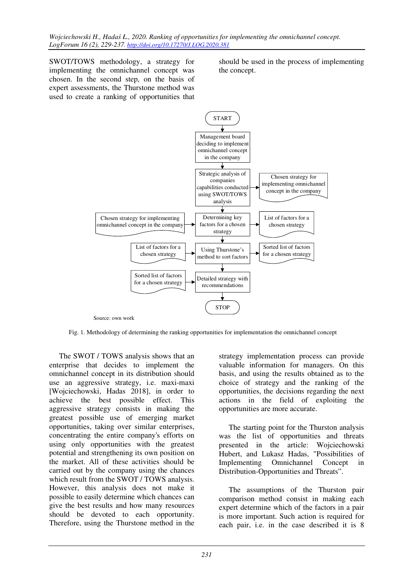SWOT/TOWS methodology, a strategy for implementing the omnichannel concept was chosen. In the second step, on the basis of expert assessments, the Thurstone method was used to create a ranking of opportunities that should be used in the process of implementing the concept.



Fig. 1. Methodology of determining the ranking opportunities for implementation the omnichannel concept

The SWOT / TOWS analysis shows that an enterprise that decides to implement the omnichannel concept in its distribution should use an aggressive strategy, i.e. maxi-maxi [Wojciechowski, Hadas 2018], in order to achieve the best possible effect. This aggressive strategy consists in making the greatest possible use of emerging market opportunities, taking over similar enterprises, concentrating the entire company's efforts on using only opportunities with the greatest potential and strengthening its own position on the market. All of these activities should be carried out by the company using the chances which result from the SWOT / TOWS analysis. However, this analysis does not make it possible to easily determine which chances can give the best results and how many resources should be devoted to each opportunity. Therefore, using the Thurstone method in the strategy implementation process can provide valuable information for managers. On this basis, and using the results obtained as to the choice of strategy and the ranking of the opportunities, the decisions regarding the next actions in the field of exploiting the opportunities are more accurate.

The starting point for the Thurston analysis was the list of opportunities and threats presented in the article: Wojciechowski Hubert, and Lukasz Hadas, "Possibilities of Implementing Omnichannel Concept in Distribution-Opportunities and Threats".

The assumptions of the Thurston pair comparison method consist in making each expert determine which of the factors in a pair is more important. Such action is required for each pair, i.e. in the case described it is 8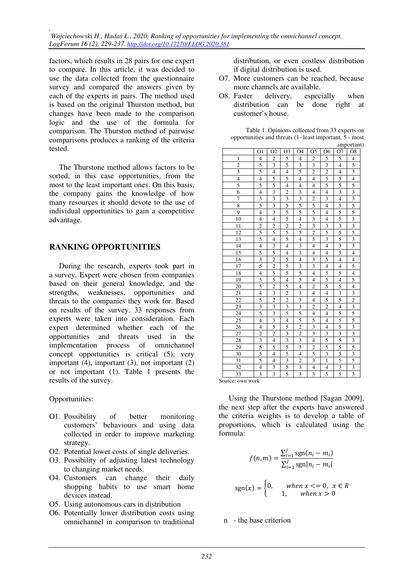*, Wojciechowski H., Hadaś Ł., 2020. Ranking of opportunities for implementing the omnichannel concept. LogForum 16 (2), 229-237. http://doi.org/10.17270/J.LOG.2020.381* 

factors, which results in 28 pairs for one expert to compare. In this article, it was decided to use the data collected from the questionnaire survey and compared the answers given by each of the experts in pairs. The method used is based on the original Thurston method, but changes have been made to the comparison logic and the use of the formula for comparison. The Thurston method of pairwise comparisons produces a ranking of the criteria tested.

The Thurstone method allows factors to be sorted, in this case opportunities, from the most to the least important ones. On this basis, the company gains the knowledge of how many resources it should devote to the use of individual opportunities to gain a competitive advantage.

#### **RANKING OPPORTUNITIES**

During the research, experts took part in a survey. Expert were chosen from companies based on their general knowledge, and the strengths, weaknesses, opportunities and threats to the companies they work for. Based on results of the survey, 33 responses from experts were taken into consideration. Each expert determined whether each of the opportunities and threats used in the implementation process of omnichannel concept opportunities is critical (5), very important (4), important (3), not important (2) or not important (1). Table 1 presents the results of the survey.

Opportunities:

- O1. Possibility of better monitoring customers' behaviours and using data collected in order to improve marketing strategy.
- O2. Potential lower costs of single deliveries.
- O3. Possibility of adjusting latest technology to changing market needs.
- O4. Customers can change their daily shopping habits to use smart home devices instead.
- O5. Using autonomous cars in distribution
- O6. Potentially lower distribution costs using omnichannel in comparison to traditional

distribution, or even costless distribution if digital distribution is used.

- O7. More customers can be reached, because more channels are available.
- O8. Faster delivery, especially when distribution can be done right at customer's house.

Table 1. Opinions collected from 33 experts on opportunities and threats (1- least important, 5 - most important)

|                 | O1                      | O2                      | O <sub>3</sub>          | O <sub>4</sub>          | O <sub>5</sub>           | Ο6                       | O <sub>7</sub>           | тпротит<br>O <sub>8</sub>                               |
|-----------------|-------------------------|-------------------------|-------------------------|-------------------------|--------------------------|--------------------------|--------------------------|---------------------------------------------------------|
| $\mathbf{1}$    | $\overline{4}$          | $\overline{2}$          |                         | $\overline{\mathbf{4}}$ |                          |                          |                          |                                                         |
| $\overline{c}$  | 5                       | $\overline{\mathbf{3}}$ | $rac{5}{5}$             | 3                       | $rac{2}{3}$              | $\frac{5}{3}$            | $\frac{5}{4}$            | $\frac{4}{3}$                                           |
| $\overline{3}$  | 5                       | $\overline{4}$          | $\overline{4}$          | 5                       | $\overline{c}$           | $\overline{c}$           | $\overline{4}$           |                                                         |
| $\overline{4}$  | $\overline{4}$          | 5                       | 5                       | $\overline{4}$          | $\overline{\mathcal{L}}$ | 5                        | 5                        | $\overline{4}$                                          |
| 5               | 5                       | 5                       | $\overline{4}$          | $\overline{4}$          | $\overline{4}$           | 5                        | 5                        | 5                                                       |
| $\overline{6}$  | $\overline{4}$          | $\overline{\mathbf{3}}$ | $\overline{2}$          | $\overline{\mathbf{3}}$ | $\overline{\mathbf{4}}$  | $\overline{4}$           | $\overline{\mathbf{3}}$  | $\overline{3}$                                          |
| $\overline{7}$  | $\overline{\mathbf{3}}$ | $\overline{\mathbf{3}}$ | $\overline{\mathbf{3}}$ | $rac{3}{5}$             | $\overline{2}$           | $\overline{\mathbf{3}}$  | $\overline{4}$           | $\frac{3}{5}$ $\frac{5}{3}$ $\frac{3}{5}$ $\frac{3}{5}$ |
| $\overline{8}$  | 5                       | $\overline{\mathbf{3}}$ | $\overline{5}$          |                         | 5                        | $\overline{4}$           | 5                        |                                                         |
| 9               | $\overline{4}$          | $\overline{\mathbf{3}}$ | 5                       | 5                       | 5                        | $\overline{\mathcal{L}}$ | 5                        |                                                         |
| 10              | $\overline{4}$          | $\overline{4}$          | $\overline{5}$          | $\overline{4}$          | $\overline{\mathbf{3}}$  | $\overline{4}$           | $\overline{5}$           |                                                         |
| 11              | $\overline{2}$          | $\frac{2}{5}$           | $\overline{2}$          | $rac{2}{5}$             | $\overline{3}$           | $\frac{3}{5}$            | $\frac{3}{5}$            |                                                         |
| $\overline{12}$ | $\overline{5}$          |                         | $\overline{5}$          |                         | $\overline{2}$           |                          |                          |                                                         |
| 13              | 5                       | $\overline{4}$          | 5                       | $\overline{4}$          | 5                        | $\overline{\mathbf{3}}$  | 5                        | $\overline{3}$                                          |
| $\overline{14}$ | $\overline{4}$          | $\overline{3}$          | $\overline{4}$          | $\overline{\mathbf{3}}$ | $\overline{\mathcal{L}}$ | $\overline{\mathbf{4}}$  | $\overline{\mathbf{3}}$  | $\overline{\overline{3}}$                               |
| $\frac{15}{16}$ | 5                       | 5                       | $\overline{4}$          | $\overline{\mathbf{3}}$ | $\overline{\mathbf{4}}$  | $\overline{\mathcal{L}}$ | 5                        | $\overline{4}$                                          |
|                 | $\overline{\mathbf{3}}$ | $\overline{c}$          | 5                       | $\overline{4}$          | $\overline{\mathbf{3}}$  | 5                        | $\overline{4}$           | $\overline{4}$                                          |
| 17              | 5                       | $\overline{2}$          | 5                       | $\frac{3}{5}$           | $\overline{\mathbf{3}}$  | $\overline{\mathcal{L}}$ | 4                        | $\overline{5}$                                          |
| 18              | $\overline{4}$          | 5                       | $\overline{5}$          |                         | $\overline{4}$           | 5                        | 5                        | $\overline{4}$                                          |
| 19              | 5                       | 5                       | $\overline{\mathbf{4}}$ | 5                       | $\overline{\mathbf{4}}$  | 5                        | $\overline{\mathbf{4}}$  | 5                                                       |
| 20              | 5                       | $\overline{c}$          | 5                       | $\overline{4}$          | $\overline{2}$           | 5                        | 5                        | $\overline{4}$                                          |
| 21              | $\overline{4}$          | $\overline{\mathbf{3}}$ | $\overline{2}$          | $\overline{\mathbf{3}}$ | $\overline{4}$           | $\overline{4}$           | $\frac{3}{5}$            | $\frac{3}{2}$                                           |
| $\overline{22}$ | 5                       | $\overline{2}$          | $\overline{c}$          | $\overline{3}$          | $\overline{4}$           | 5                        |                          |                                                         |
| 23              | $\overline{\mathbf{3}}$ | $\overline{\mathbf{3}}$ | $\overline{\mathbf{3}}$ | $\overline{\mathbf{3}}$ | $\overline{2}$           | $\overline{2}$           | $\overline{\mathcal{L}}$ |                                                         |
| 24              | 5                       | $\overline{\mathbf{3}}$ | 5                       | $\frac{1}{5}$           | $\overline{4}$           | $\overline{4}$           | 5                        |                                                         |
| 25              | $\overline{4}$          | $\overline{\mathbf{3}}$ | $\overline{4}$          | 5                       | 5                        | $\overline{4}$           | $\frac{5}{5}$            | $\frac{3}{5}$ $\frac{5}{3}$                             |
| $\overline{26}$ | $\overline{4}$          | 5                       | $\overline{5}$          | $\overline{2}$          | $\overline{\mathbf{3}}$  | $\overline{4}$           |                          |                                                         |
| $\overline{27}$ | $\overline{2}$          | $\overline{c}$          | $\overline{3}$          | $\overline{2}$          | $\overline{\mathbf{3}}$  | $\overline{\mathbf{3}}$  | $\overline{\mathbf{3}}$  | $\overline{\mathbf{3}}$                                 |
| 28              | $\overline{\mathbf{3}}$ | $\overline{4}$          | $\overline{\mathbf{3}}$ | $\overline{\mathbf{3}}$ | $\overline{4}$           | 5                        | 5                        |                                                         |
| 29              | 5                       | 5                       | 5                       | $\overline{5}$          | $\overline{c}$           | $\overline{5}$           | 5                        |                                                         |
| 30              | 5                       | $\overline{4}$          | 5                       | $\overline{4}$          | 5                        | $\overline{\mathbf{3}}$  | 5                        | $\frac{3}{5}$ $\frac{3}{5}$                             |
| 31              | 5                       | $\overline{4}$          | $\overline{\mathbf{3}}$ | $\overline{\mathbf{c}}$ | 3                        | $\mathbf{1}$             | 5                        |                                                         |
| $\overline{32}$ | $\overline{4}$          | $\overline{\mathbf{3}}$ | 5                       | $\overline{\mathbf{3}}$ | $\overline{4}$           | $\overline{4}$           | $\overline{\mathbf{3}}$  | $\overline{\mathbf{3}}$                                 |
| $\overline{33}$ | $\overline{\mathbf{3}}$ | $\overline{\mathbf{3}}$ | $\overline{5}$          | $\overline{3}$          | $\overline{\mathbf{3}}$  | 5                        | 5                        | $\overline{\mathbf{3}}$                                 |

Source: own work

Using the Thurstone method [Sagan 2009], the next step after the experts have answered the criteria weights is to develop a table of proportions, which is calculated using the formula:

$$
f(n,m) = \frac{\sum_{i=1}^{j} sgn(n_i - m_i)}{\sum_{i=1}^{j} sgn|n_i - m_i|}
$$

$$
sgn(x) = \begin{cases} 0, & when x < = 0, x \in R \\ 1, & when x > 0 \end{cases}
$$

n - the base criterion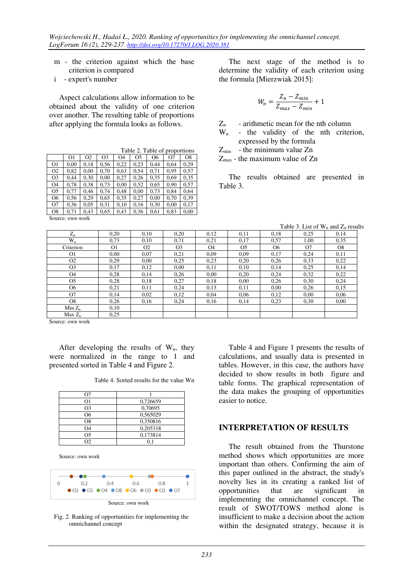m - the criterion against which the base criterion is compared

i - expert's number

Aspect calculations allow information to be obtained about the validity of one criterion over another. The resulting table of proportions after applying the formula looks as follows.

|                |      |                | Table 2. Table of proportions |                |                |                |      |      |
|----------------|------|----------------|-------------------------------|----------------|----------------|----------------|------|------|
|                | O1   | O <sub>2</sub> | O <sub>3</sub>                | O <sub>4</sub> | O <sub>5</sub> | O <sub>6</sub> | O7   | O8   |
| O <sub>1</sub> | 0.00 | 0,18           | 0.56                          | 0,22           | 0,23           | 0.44           | 0.64 | 0.29 |
| O <sub>2</sub> | 0.82 | 0.00           | 0.70                          | 0.63           | 0.54           | 0.71           | 0.95 | 0.57 |
| O <sub>3</sub> | 0,44 | 0.30           | 0,00                          | 0,27           | 0,26           | 0.35           | 0.69 | 0.35 |
| O <sub>4</sub> | 0.78 | 0.38           | 0.73                          | 0,00           | 0.52           | 0.65           | 0,90 | 0,57 |
| O <sub>5</sub> | 0.77 | 0,46           | 0,74                          | 0.48           | 0,00           | 0.73           | 0.84 | 0.64 |
| O6             | 0.56 | 0.29           | 0.65                          | 0.35           | 0.27           | 0,00           | 0.70 | 0.39 |
| O7             | 0.36 | 0.05           | 0.31                          | 0.10           | 0.16           | 0,30           | 0.00 | 0.17 |
| O <sub>8</sub> | 0.71 | 0.43           | 0.65                          | 0.43           | 0,36           | 0.61           | 0.83 | 0,00 |

Source: own work

The next stage of the method is to determine the validity of each criterion using the formula [Mierzwiak 2015]:

$$
W_n = \frac{Z_n - Z_{min}}{Z_{max} - Z_{min}} + 1
$$

 $Z_n$  - arithmetic mean for the nth column

W<sub>n</sub> - the validity of the nth criterion, expressed by the formula

 $Z_{\text{min}}$  - the minimum value  $Z_{n}$ 

Zmax - the maximum value of Zn

The results obtained are presented in Table 3.

Table 3. List of  $W_n$  and  $Z_n$  results

|                |                |                |                |                |                |                |      | $1$ avic $3$ . List of $y_n$ and $z_n$ result |
|----------------|----------------|----------------|----------------|----------------|----------------|----------------|------|-----------------------------------------------|
| $Z_{n}$        | 0.20           | 0.10           | 0.20           | 0.12           | 0,11           | 0.18           | 0,25 | 0.14                                          |
| $W_n$          | 0,73           | 0,10           | 0.71           | 0,21           | 0,17           | 0.57           | 1,00 | 0.35                                          |
| Criterion      | O <sub>1</sub> | O <sub>2</sub> | O <sub>3</sub> | O <sub>4</sub> | O <sub>5</sub> | O <sub>6</sub> | 07   | O <sub>8</sub>                                |
| O1             | 0.00           | 0,07           | 0,21           | 0.09           | 0.09           | 0,17           | 0,24 | 0,11                                          |
| O <sub>2</sub> | 0.29           | $0.00^{\circ}$ | 0.25           | 0,23           | 0.20           | 0.26           | 0.33 | 0,22                                          |
| O <sub>3</sub> | 0,17           | 0,12           | 0.00           | 0,11           | 0,10           | 0,14           | 0.25 | 0,14                                          |
| O <sub>4</sub> | 0,28           | 0,14           | 0.26           | 0.00           | 0,20           | 0,24           | 0,32 | 0,22                                          |
| O <sub>5</sub> | 0.28           | 0.18           | 0.27           | 0.18           | 0.00           | 0.26           | 0,30 | 0,24                                          |
| O6             | 0,21           | 0,11           | 0.24           | 0.13           | 0,11           | 0.00           | 0,26 | 0,15                                          |
| O7             | 0,14           | 0,02           | 0,12           | 0.04           | 0.06           | 0,12           | 0.00 | 0,06                                          |
| O8             | 0,26           | 0,16           | 0,24           | 0,16           | 0,14           | 0.23           | 0,30 | 0.00                                          |
| $Min Z_n$      | 0.10           |                |                |                |                |                |      |                                               |
| $Max Z_n$      | 0,25           |                |                |                |                |                |      |                                               |

Source: own work

After developing the results of  $W_n$ , they were normalized in the range to 1 and presented sorted in Table 4 and Figure 2.

Table 4. Sorted results for the value Wn

| O1 | 0,726659 |
|----|----------|
| O3 | 0,70695  |
| Ο6 | 0,565029 |
| O8 | 0,350816 |
| O4 | 0,205318 |
| Ο5 | 0,173814 |
| מר |          |

Source: own work



Fig. 2. Ranking of opportunities for implementing the omnichannel concept

Table 4 and Figure 1 presents the results of calculations, and usually data is presented in tables. However, in this case, the authors have decided to show results in both figure and table forms. The graphical representation of the data makes the grouping of opportunities easier to notice.

#### **INTERPRETATION OF RESULTS**

The result obtained from the Thurstone method shows which opportunities are more important than others. Confirming the aim of this paper outlined in the abstract, the study's novelty lies in its creating a ranked list of opportunities that are significant in implementing the omnichannel concept. The result of SWOT/TOWS method alone is insufficient to make a decision about the action within the designated strategy, because it is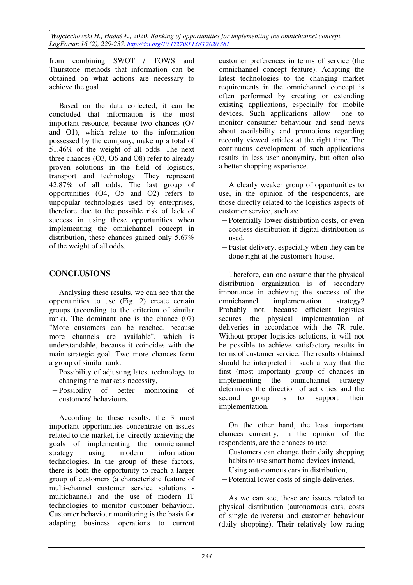*, Wojciechowski H., Hadaś Ł., 2020. Ranking of opportunities for implementing the omnichannel concept. LogForum 16 (2), 229-237. http://doi.org/10.17270/J.LOG.2020.381* 

from combining SWOT / TOWS and Thurstone methods that information can be obtained on what actions are necessary to achieve the goal.

Based on the data collected, it can be concluded that information is the most important resource, because two chances (O7 and O1), which relate to the information possessed by the company, make up a total of 51.46% of the weight of all odds. The next three chances (O3, O6 and O8) refer to already proven solutions in the field of logistics, transport and technology. They represent 42.87% of all odds. The last group of opportunities (O4, O5 and O2) refers to unpopular technologies used by enterprises, therefore due to the possible risk of lack of success in using these opportunities when implementing the omnichannel concept in distribution, these chances gained only 5.67% of the weight of all odds.

#### **CONCLUSIONS**

Analysing these results, we can see that the opportunities to use (Fig. 2) create certain groups (according to the criterion of similar rank). The dominant one is the chance (07) "More customers can be reached, because more channels are available", which is understandable, because it coincides with the main strategic goal. Two more chances form a group of similar rank:

- − Possibility of adjusting latest technology to changing the market's necessity,
- − Possibility of better monitoring of customers' behaviours.

According to these results, the 3 most important opportunities concentrate on issues related to the market, i.e. directly achieving the goals of implementing the omnichannel strategy using modern information technologies. In the group of these factors, there is both the opportunity to reach a larger group of customers (a characteristic feature of multi-channel customer service solutions multichannel) and the use of modern IT technologies to monitor customer behaviour. Customer behaviour monitoring is the basis for adapting business operations to current customer preferences in terms of service (the omnichannel concept feature). Adapting the latest technologies to the changing market requirements in the omnichannel concept is often performed by creating or extending existing applications, especially for mobile devices. Such applications allow one to monitor consumer behaviour and send news about availability and promotions regarding recently viewed articles at the right time. The continuous development of such applications results in less user anonymity, but often also a better shopping experience.

A clearly weaker group of opportunities to use, in the opinion of the respondents, are those directly related to the logistics aspects of customer service, such as:

- − Potentially lower distribution costs, or even costless distribution if digital distribution is used,
- − Faster delivery, especially when they can be done right at the customer's house.

Therefore, can one assume that the physical distribution organization is of secondary importance in achieving the success of the omnichannel implementation strategy? Probably not, because efficient logistics secures the physical implementation of deliveries in accordance with the 7R rule. Without proper logistics solutions, it will not be possible to achieve satisfactory results in terms of customer service. The results obtained should be interpreted in such a way that the first (most important) group of chances in implementing the omnichannel strategy determines the direction of activities and the second group is to support their implementation.

On the other hand, the least important chances currently, in the opinion of the respondents, are the chances to use:

- − Customers can change their daily shopping habits to use smart home devices instead,
- − Using autonomous cars in distribution,
- − Potential lower costs of single deliveries.

As we can see, these are issues related to physical distribution (autonomous cars, costs of single deliverers) and customer behaviour (daily shopping). Their relatively low rating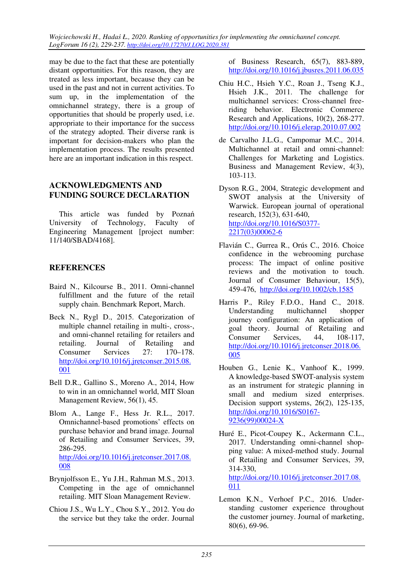*Wojciechowski H., Hadaś Ł., 2020. Ranking of opportunities for implementing the omnichannel concept. LogForum 16 (2), 229-237. http://doi.org/10.17270/J.LOG.2020.381* 

may be due to the fact that these are potentially distant opportunities. For this reason, they are treated as less important, because they can be used in the past and not in current activities. To sum up, in the implementation of the omnichannel strategy, there is a group of opportunities that should be properly used, i.e. appropriate to their importance for the success of the strategy adopted. Their diverse rank is important for decision-makers who plan the implementation process. The results presented here are an important indication in this respect.

### **ACKNOWLEDGMENTS AND FUNDING SOURCE DECLARATION**

This article was funded by Poznań<br>iversity of Technology, Faculty of University of Technology, Faculty of Engineering Management [project number: 11/140/SBAD/4168].

## **REFERENCES**

- Baird N., Kilcourse B., 2011. Omni-channel fulfillment and the future of the retail supply chain. Benchmark Report, March.
- Beck N., Rygl D., 2015. Categorization of multiple channel retailing in multi-, cross-, and omni-channel retailing for retailers and retailing. Journal of Retailing and Consumer Services 27: 170–178. http://doi.org/10.1016/j.jretconser.2015.08. 001
- Bell D.R., Gallino S., Moreno A., 2014, How to win in an omnichannel world, MIT Sloan Management Review, 56(1), 45.
- Blom A., Lange F., Hess Jr. R.L., 2017. Omnichannel-based promotions' effects on purchase behavior and brand image. Journal of Retailing and Consumer Services, 39, 286-295. http://doi.org/10.1016/j.jretconser.2017.08. 008
- Brynjolfsson E., Yu J.H., Rahman M.S., 2013. Competing in the age of omnichannel retailing. MIT Sloan Management Review.
- Chiou J.S., Wu L.Y., Chou S.Y., 2012. You do the service but they take the order. Journal

of Business Research, 65(7), 883-889, http://doi.org/10.1016/j.jbusres.2011.06.035

- Chiu H.C., Hsieh Y.C., Roan J., Tseng K.J., Hsieh J.K., 2011. The challenge for multichannel services: Cross-channel freeriding behavior. Electronic Commerce Research and Applications, 10(2), 268-277. http://doi.org/10.1016/j.elerap.2010.07.002
- de Carvalho J.L.G., Campomar M.C., 2014. Multichannel at retail and omni-channel: Challenges for Marketing and Logistics. Business and Management Review, 4(3), 103-113.

Dyson R.G., 2004, Strategic development and SWOT analysis at the University of Warwick. European journal of operational research, 152(3), 631-640, http://doi.org/10.1016/S0377- 2217(03)00062-6

- Flavián C., Gurrea R., Orús C., 2016. Choice confidence in the webrooming purchase process: The impact of online positive reviews and the motivation to touch. Journal of Consumer Behaviour, 15(5), 459-476, http://doi.org/10.1002/cb.1585
- Harris P., Riley F.D.O., Hand C., 2018. Understanding multichannel shopper journey configuration: An application of goal theory. Journal of Retailing and Consumer Services, 44, 108-117, http://doi.org/10.1016/j.jretconser.2018.06. 005
- Houben G., Lenie K., Vanhoof K., 1999. A knowledge-based SWOT-analysis system as an instrument for strategic planning in small and medium sized enterprises. Decision support systems, 26(2), 125-135, http://doi.org/10.1016/S0167- 9236(99)00024-X
- Huré E., Picot-Coupey K., Ackermann C.L., 2017. Understanding omni-channel shopping value: A mixed-method study. Journal of Retailing and Consumer Services, 39, 314-330, http://doi.org/10.1016/j.jretconser.2017.08. 011
- Lemon K.N., Verhoef P.C., 2016. Understanding customer experience throughout the customer journey. Journal of marketing, 80(6), 69-96.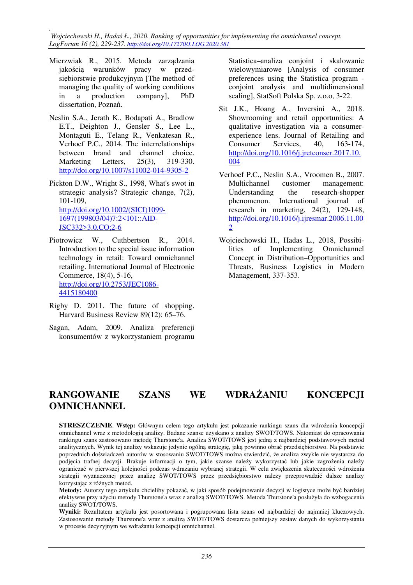*, Wojciechowski H., Hadaś Ł., 2020. Ranking of opportunities for implementing the omnichannel concept. LogForum 16 (2), 229-237. http://doi.org/10.17270/J.LOG.2020.381* 

- Mierzwiak R., 2015. Metoda zarządzania jakością warunków pracy w przedsiębiorstwie produkcyjnym [The method of managing the quality of working conditions in a production company], PhD dissertation, Poznań.
- Neslin S.A., Jerath K., Bodapati A., Bradlow E.T., Deighton J., Gensler S., Lee L., Montaguti E., Telang R., Venkatesan R., Verhoef P.C., 2014. The interrelationships between brand and channel choice. Marketing Letters, 25(3), 319-330. http://doi.org/10.1007/s11002-014-9305-2
- Pickton D.W., Wright S., 1998, What's swot in strategic analysis? Strategic change, 7(2), 101-109, http://doi.org/10.1002/(SICI)1099- 1697(199803/04)7:2<101::AID-JSC332>3.0.CO;2-6
- Piotrowicz W., Cuthbertson R., 2014. Introduction to the special issue information technology in retail: Toward omnichannel retailing. International Journal of Electronic Commerce, 18(4), 5-16, http://doi.org/10.2753/JEC1086- 4415180400
- Rigby D. 2011. The future of shopping. Harvard Business Review 89(12): 65–76.
- Sagan, Adam, 2009. Analiza preferencji konsumentów z wykorzystaniem programu

Statistica–analiza conjoint i skalowanie wielowymiarowe [Analysis of consumer preferences using the Statistica program conjoint analysis and multidimensional scaling], StatSoft Polska Sp. z.o.o, 3-22.

- Sit J.K., Hoang A., Inversini A., 2018. Showrooming and retail opportunities: A qualitative investigation via a consumerexperience lens. Journal of Retailing and Consumer Services, 40, 163-174, http://doi.org/10.1016/j.jretconser.2017.10. 004
- Verhoef P.C., Neslin S.A., Vroomen B., 2007. Multichannel customer management: Understanding the research-shopper phenomenon. International journal of research in marketing, 24(2), 129-148, http://doi.org/10.1016/j.ijresmar.2006.11.00 2
- Wojciechowski H., Hadas L., 2018, Possibilities of Implementing Omnichannel Concept in Distribution–Opportunities and Threats, Business Logistics in Modern Management, 337-353.

# **RANGOWANIE SZANS WE WDRAŻANIU KONCEPCJI OMNICHANNEL**

**STRESZCZENIE**. **Wstęp:** Głównym celem tego artykułu jest pokazanie rankingu szans dla wdrożenia koncepcji omnichannel wraz z metodologią analizy. Badane szanse uzyskano z analizy SWOT/TOWS. Natomiast do opracowania rankingu szans zastosowano metodę Thurstone'a. Analiza SWOT/TOWS jest jedną z najbardziej podstawowych metod analitycznych. Wynik tej analizy wskazuje jedynie ogólną strategię, jaką powinno obrać przedsiębiorstwo. Na podstawie poprzednich doświadczeń autorów w stosowaniu SWOT/TOWS można stwierdzić, że analiza zwykle nie wystarcza do podjęcia trafnej decyzji. Brakuje informacji o tym, jakie szanse należy wykorzystać lub jakie zagrożenia należy ograniczać w pierwszej kolejności podczas wdrażaniu wybranej strategii. W celu zwiększenia skuteczności wdrożenia strategii wyznaczonej przez analizę SWOT/TOWS przez przedsiębiorstwo należy przeprowadzić dalsze analizy korzystając z różnych metod.

**Metody:** Autorzy tego artykułu chcieliby pokazać, w jaki sposób podejmowanie decyzji w logistyce może być bardziej efektywne przy użyciu metody Thurstone'a wraz z analizą SWOT/TOWS. Metoda Thurstone'a posłużyła do wzbogacenia analizy SWOT/TOWS.

**Wyniki:** Rezultatem artykułu jest posortowana i pogrupowana lista szans od najbardziej do najmniej kluczowych. Zastosowanie metody Thurstone'a wraz z analizą SWOT/TOWS dostarcza pełniejszy zestaw danych do wykorzystania w procesie decyzyjnym we wdrażaniu koncepcji omnichannel.